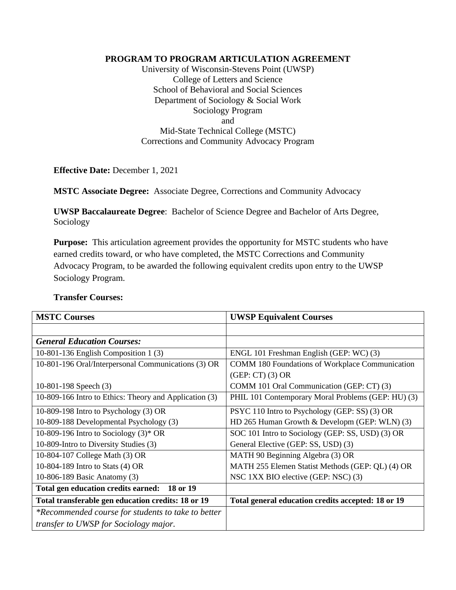## **PROGRAM TO PROGRAM ARTICULATION AGREEMENT**

University of Wisconsin-Stevens Point (UWSP) College of Letters and Science School of Behavioral and Social Sciences Department of Sociology & Social Work Sociology Program and Mid-State Technical College (MSTC) Corrections and Community Advocacy Program

**Effective Date:** December 1, 2021

**MSTC Associate Degree:** Associate Degree, Corrections and Community Advocacy

**UWSP Baccalaureate Degree**: Bachelor of Science Degree and Bachelor of Arts Degree, Sociology

**Purpose:** This articulation agreement provides the opportunity for MSTC students who have earned credits toward, or who have completed, the MSTC Corrections and Community Advocacy Program, to be awarded the following equivalent credits upon entry to the UWSP Sociology Program.

**Transfer Courses:**

| <b>MSTC Courses</b>                                    | <b>UWSP Equivalent Courses</b>                         |
|--------------------------------------------------------|--------------------------------------------------------|
|                                                        |                                                        |
| <b>General Education Courses:</b>                      |                                                        |
| 10-801-136 English Composition 1 $(3)$                 | ENGL 101 Freshman English (GEP: WC) (3)                |
| 10-801-196 Oral/Interpersonal Communications (3) OR    | <b>COMM 180 Foundations of Workplace Communication</b> |
|                                                        | $(GEP:CT)$ (3) OR                                      |
| 10-801-198 Speech $(3)$                                | COMM 101 Oral Communication (GEP: CT) (3)              |
| 10-809-166 Intro to Ethics: Theory and Application (3) | PHIL 101 Contemporary Moral Problems (GEP: HU) (3)     |
| 10-809-198 Intro to Psychology (3) OR                  | PSYC 110 Intro to Psychology (GEP: SS) (3) OR          |
| 10-809-188 Developmental Psychology (3)                | HD 265 Human Growth & Developm (GEP: WLN) (3)          |
| 10-809-196 Intro to Sociology $(3)^*$ OR               | SOC 101 Intro to Sociology (GEP: SS, USD) (3) OR       |
| 10-809-Intro to Diversity Studies (3)                  | General Elective (GEP: SS, USD) (3)                    |
| 10-804-107 College Math (3) OR                         | MATH 90 Beginning Algebra (3) OR                       |
| 10-804-189 Intro to Stats (4) OR                       | MATH 255 Elemen Statist Methods (GEP: QL) (4) OR       |
| 10-806-189 Basic Anatomy (3)                           | NSC 1XX BIO elective (GEP: NSC) (3)                    |
| Total gen education credits earned:<br>18 or 19        |                                                        |
| Total transferable gen education credits: 18 or 19     | Total general education credits accepted: 18 or 19     |
| *Recommended course for students to take to better     |                                                        |
| <i>transfer to UWSP for Sociology major.</i>           |                                                        |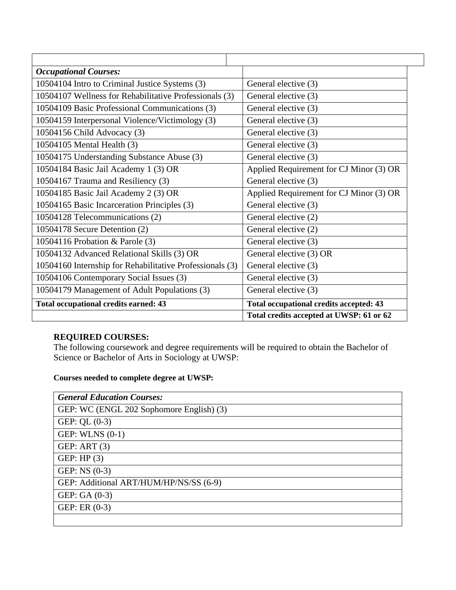| <b>Occupational Courses:</b>                             |                                          |
|----------------------------------------------------------|------------------------------------------|
| 10504104 Intro to Criminal Justice Systems (3)           | General elective (3)                     |
| 10504107 Wellness for Rehabilitative Professionals (3)   | General elective (3)                     |
| 10504109 Basic Professional Communications (3)           | General elective (3)                     |
| 10504159 Interpersonal Violence/Victimology (3)          | General elective (3)                     |
| 10504156 Child Advocacy (3)                              | General elective (3)                     |
| 10504105 Mental Health (3)                               | General elective (3)                     |
| 10504175 Understanding Substance Abuse (3)               | General elective (3)                     |
| 10504184 Basic Jail Academy 1 (3) OR                     | Applied Requirement for CJ Minor (3) OR  |
| 10504167 Trauma and Resiliency (3)                       | General elective (3)                     |
| 10504185 Basic Jail Academy 2 (3) OR                     | Applied Requirement for CJ Minor (3) OR  |
| 10504165 Basic Incarceration Principles (3)              | General elective (3)                     |
| 10504128 Telecommunications (2)                          | General elective (2)                     |
| 10504178 Secure Detention (2)                            | General elective (2)                     |
| 10504116 Probation & Parole (3)                          | General elective (3)                     |
| 10504132 Advanced Relational Skills (3) OR               | General elective (3) OR                  |
| 10504160 Internship for Rehabilitative Professionals (3) | General elective (3)                     |
| 10504106 Contemporary Social Issues (3)                  | General elective (3)                     |
| 10504179 Management of Adult Populations (3)             | General elective (3)                     |
| <b>Total occupational credits earned: 43</b>             | Total occupational credits accepted: 43  |
|                                                          | Total credits accepted at UWSP: 61 or 62 |

## **REQUIRED COURSES:**

The following coursework and degree requirements will be required to obtain the Bachelor of Science or Bachelor of Arts in Sociology at UWSP:

**Courses needed to complete degree at UWSP:**

| <b>General Education Courses:</b>        |
|------------------------------------------|
| GEP: WC (ENGL 202 Sophomore English) (3) |
| GEP: $QL(0-3)$                           |
| GEP: WLNS $(0-1)$                        |
| GEP: ART $(3)$                           |
| GEP: HP $(3)$                            |
| GEP: $NS(0-3)$                           |
| GEP: Additional ART/HUM/HP/NS/SS (6-9)   |
| GEP: GA $(0-3)$                          |
| GEP: ER $(0-3)$                          |
|                                          |